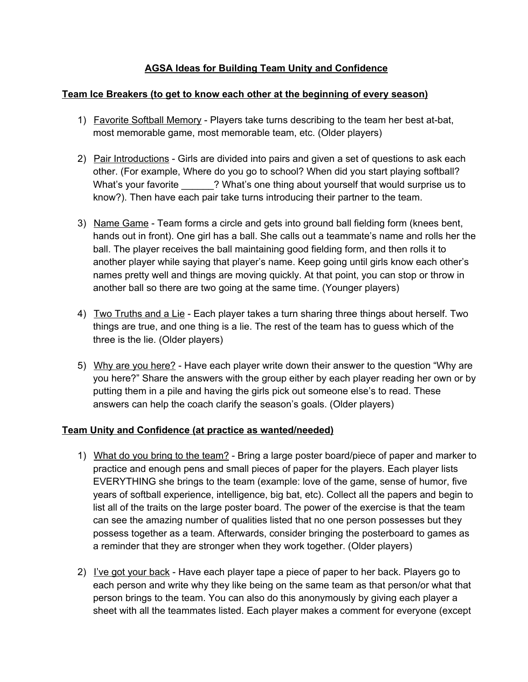# **AGSA Ideas for Building Team Unity and Confidence**

### **Team Ice Breakers (to get to know each other at the beginning of every season)**

- 1) Favorite Softball Memory Players take turns describing to the team her best at-bat, most memorable game, most memorable team, etc. (Older players)
- 2) Pair Introductions Girls are divided into pairs and given a set of questions to ask each other. (For example, Where do you go to school? When did you start playing softball? What's your favorite **2008**? What's one thing about yourself that would surprise us to know?). Then have each pair take turns introducing their partner to the team.
- 3) Name Game Team forms a circle and gets into ground ball fielding form (knees bent, hands out in front). One girl has a ball. She calls out a teammate's name and rolls her the ball. The player receives the ball maintaining good fielding form, and then rolls it to another player while saying that player's name. Keep going until girls know each other's names pretty well and things are moving quickly. At that point, you can stop or throw in another ball so there are two going at the same time. (Younger players)
- 4) Two Truths and a Lie Each player takes a turn sharing three things about herself. Two things are true, and one thing is a lie. The rest of the team has to guess which of the three is the lie. (Older players)
- 5) Why are you here? Have each player write down their answer to the question "Why are you here?" Share the answers with the group either by each player reading her own or by putting them in a pile and having the girls pick out someone else's to read. These answers can help the coach clarify the season's goals. (Older players)

## **Team Unity and Confidence (at practice as wanted/needed)**

- 1) What do you bring to the team? Bring a large poster board/piece of paper and marker to practice and enough pens and small pieces of paper for the players. Each player lists EVERYTHING she brings to the team (example: love of the game, sense of humor, five years of softball experience, intelligence, big bat, etc). Collect all the papers and begin to list all of the traits on the large poster board. The power of the exercise is that the team can see the amazing number of qualities listed that no one person possesses but they possess together as a team. Afterwards, consider bringing the posterboard to games as a reminder that they are stronger when they work together. (Older players)
- 2) I've got your back Have each player tape a piece of paper to her back. Players go to each person and write why they like being on the same team as that person/or what that person brings to the team. You can also do this anonymously by giving each player a sheet with all the teammates listed. Each player makes a comment for everyone (except